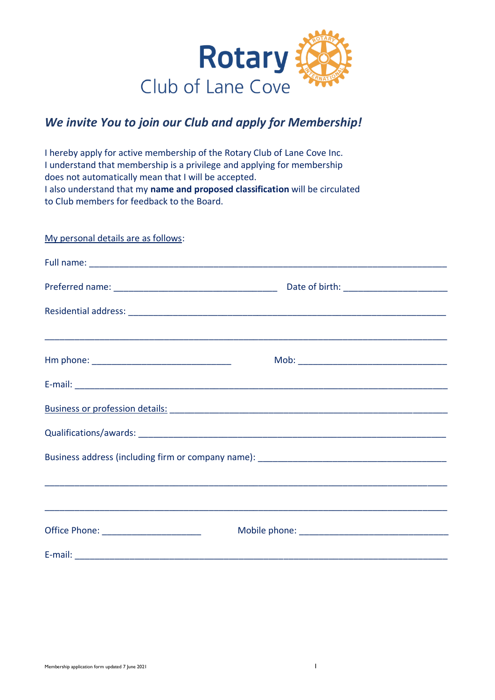

# *We invite You to join our Club and apply for Membership!*

I hereby apply for active membership of the Rotary Club of Lane Cove Inc. I understand that membership is a privilege and applying for membership does not automatically mean that I will be accepted. I also understand that my **name and proposed classification** will be circulated to Club members for feedback to the Board.

| My personal details are as follows:    |  |
|----------------------------------------|--|
|                                        |  |
|                                        |  |
|                                        |  |
|                                        |  |
|                                        |  |
|                                        |  |
|                                        |  |
|                                        |  |
|                                        |  |
| Office Phone: ________________________ |  |
|                                        |  |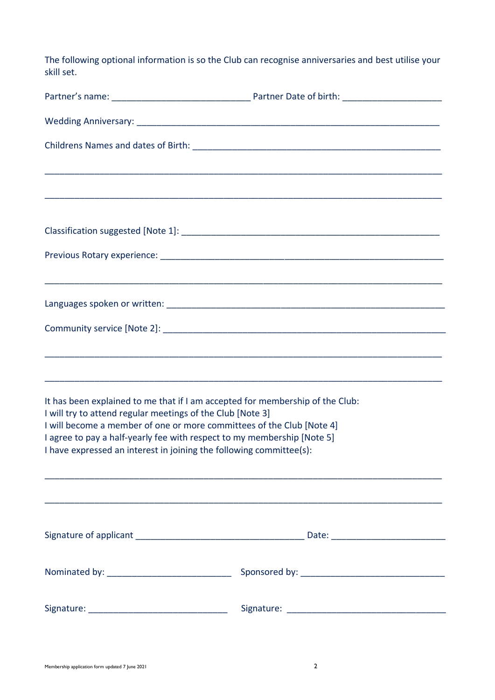The following optional information is so the Club can recognise anniversaries and best utilise your skill set.

| It has been explained to me that if I am accepted for membership of the Club:<br>I will try to attend regular meetings of the Club [Note 3]<br>I will become a member of one or more committees of the Club [Note 4]<br>I agree to pay a half-yearly fee with respect to my membership [Note 5]<br>I have expressed an interest in joining the following committee(s): |  |  |
|------------------------------------------------------------------------------------------------------------------------------------------------------------------------------------------------------------------------------------------------------------------------------------------------------------------------------------------------------------------------|--|--|
|                                                                                                                                                                                                                                                                                                                                                                        |  |  |
|                                                                                                                                                                                                                                                                                                                                                                        |  |  |
|                                                                                                                                                                                                                                                                                                                                                                        |  |  |